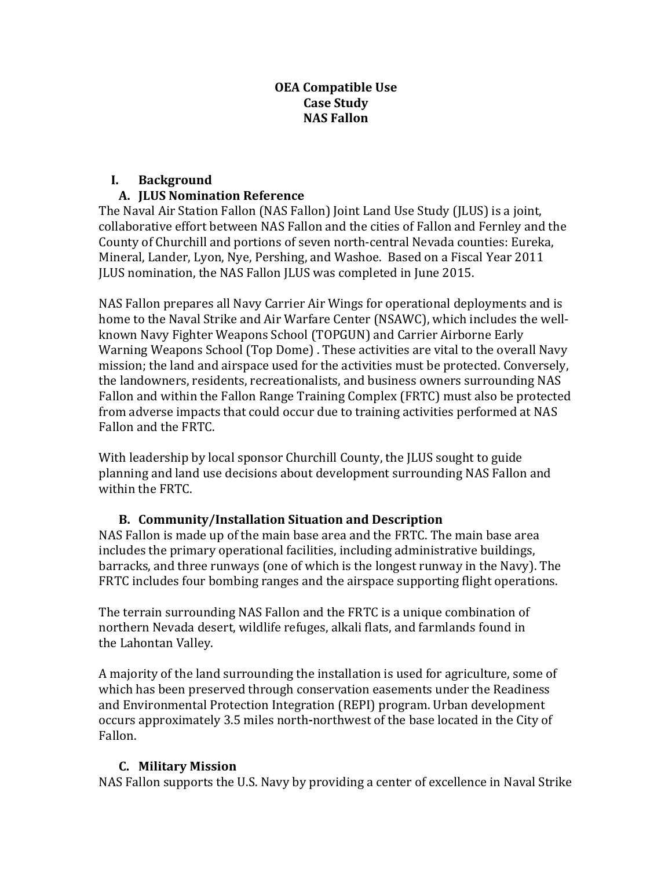#### **OEA Compatible Use Case Study NAS Fallon**

# **I. Background**

# **A. JLUS Nomination Reference**

The Naval Air Station Fallon (NAS Fallon) Joint Land Use Study (JLUS) is a joint, collaborative effort between NAS Fallon and the cities of Fallon and Fernley and the County of Churchill and portions of seven north-central Nevada counties: Eureka, Mineral, Lander, Lyon, Nye, Pershing, and Washoe. Based on a Fiscal Year 2011 JLUS nomination, the NAS Fallon JLUS was completed in June 2015.

NAS Fallon prepares all Navy Carrier Air Wings for operational deployments and is home to the Naval Strike and Air Warfare Center (NSAWC), which includes the wellknown Navy Fighter Weapons School (TOPGUN) and Carrier Airborne Early Warning Weapons School (Top Dome). These activities are vital to the overall Navy mission; the land and airspace used for the activities must be protected. Conversely, the landowners, residents, recreationalists, and business owners surrounding NAS Fallon and within the Fallon Range Training Complex (FRTC) must also be protected from adverse impacts that could occur due to training activities performed at NAS Fallon and the FRTC.

With leadership by local sponsor Churchill County, the JLUS sought to guide planning and land use decisions about development surrounding NAS Fallon and within the FRTC.

# **B. Community/Installation Situation and Description**

NAS Fallon is made up of the main base area and the FRTC. The main base area includes the primary operational facilities, including administrative buildings, barracks, and three runways (one of which is the longest runway in the Navy). The FRTC includes four bombing ranges and the airspace supporting flight operations.

The terrain surrounding NAS Fallon and the FRTC is a unique combination of northern Nevada desert, wildlife refuges, alkali flats, and farmlands found in the Lahontan Valley.

A majority of the land surrounding the installation is used for agriculture, some of which has been preserved through conservation easements under the Readiness and Environmental Protection Integration (REPI) program. Urban development occurs approximately 3.5 miles north-northwest of the base located in the City of Fallon.

# **C. Military Mission**

NAS Fallon supports the U.S. Navy by providing a center of excellence in Naval Strike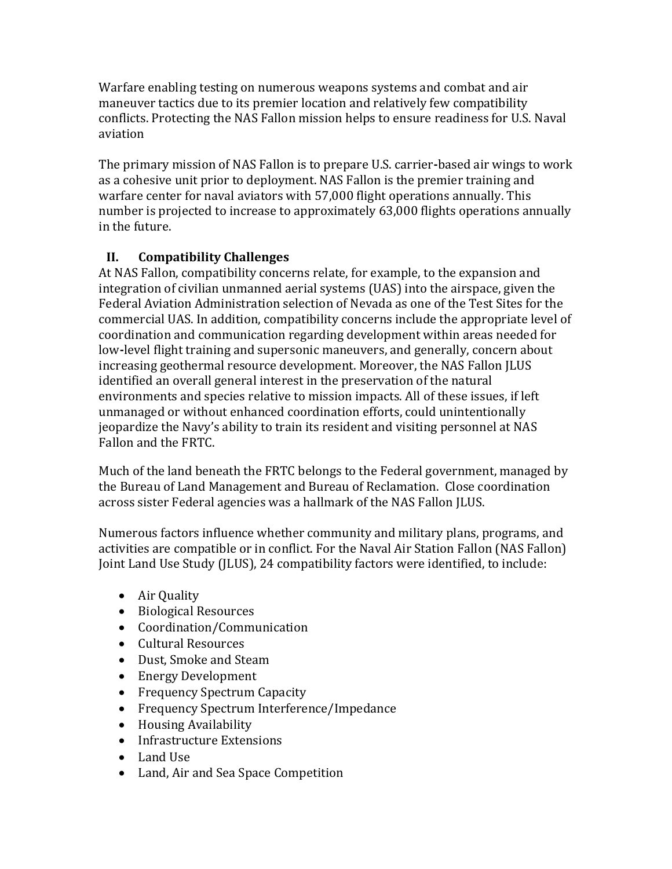Warfare enabling testing on numerous weapons systems and combat and air maneuver tactics due to its premier location and relatively few compatibility conflicts. Protecting the NAS Fallon mission helps to ensure readiness for U.S. Naval aviation

The primary mission of NAS Fallon is to prepare U.S. carrier-based air wings to work as a cohesive unit prior to deployment. NAS Fallon is the premier training and warfare center for naval aviators with 57,000 flight operations annually. This number is projected to increase to approximately 63,000 flights operations annually in the future.

# **II. Compatibility Challenges**

At NAS Fallon, compatibility concerns relate, for example, to the expansion and integration of civilian unmanned aerial systems (UAS) into the airspace, given the Federal Aviation Administration selection of Nevada as one of the Test Sites for the commercial UAS. In addition, compatibility concerns include the appropriate level of coordination and communication regarding development within areas needed for low-level flight training and supersonic maneuvers, and generally, concern about increasing geothermal resource development. Moreover, the NAS Fallon JLUS identified an overall general interest in the preservation of the natural environments and species relative to mission impacts. All of these issues, if left unmanaged or without enhanced coordination efforts, could unintentionally jeopardize the Navy's ability to train its resident and visiting personnel at NAS Fallon and the FRTC.

Much of the land beneath the FRTC belongs to the Federal government, managed by the Bureau of Land Management and Bureau of Reclamation. Close coordination across sister Federal agencies was a hallmark of the NAS Fallon JLUS.

Numerous factors influence whether community and military plans, programs, and activities are compatible or in conflict. For the Naval Air Station Fallon (NAS Fallon) Joint Land Use Study (JLUS), 24 compatibility factors were identified, to include:

- Air Quality
- Biological Resources
- Coordination/Communication
- Cultural Resources
- Dust, Smoke and Steam
- Energy Development
- Frequency Spectrum Capacity
- Frequency Spectrum Interference/Impedance
- Housing Availability
- Infrastructure Extensions
- Land Use
- Land, Air and Sea Space Competition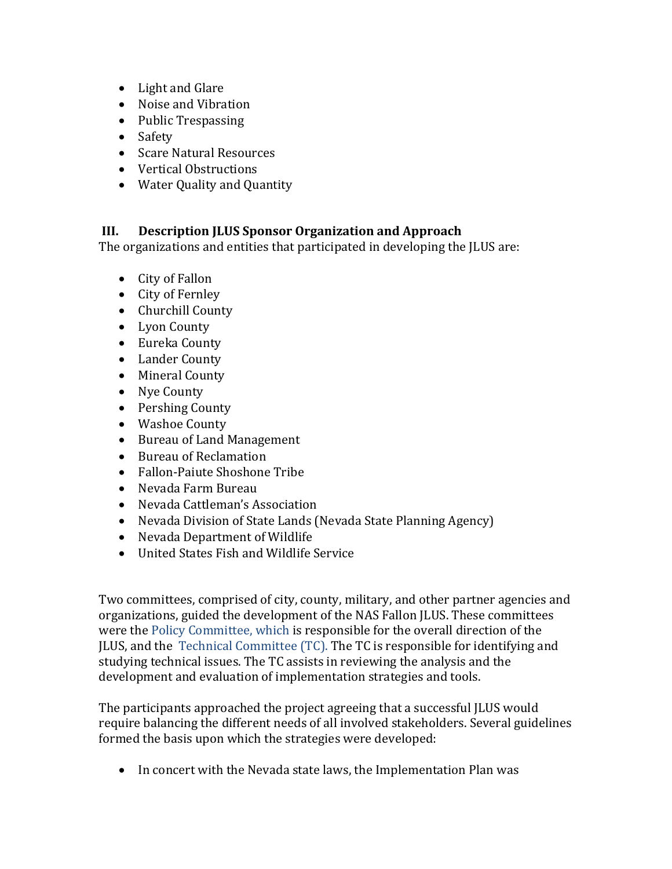- Light and Glare
- Noise and Vibration
- Public Trespassing
- Safety
- Scare Natural Resources
- Vertical Obstructions
- Water Quality and Quantity

## **III. Description JLUS Sponsor Organization and Approach**

The organizations and entities that participated in developing the JLUS are:

- City of Fallon
- City of Fernley
- Churchill County
- Lyon County
- Eureka County
- Lander County
- Mineral County
- Nye County
- Pershing County
- Washoe County
- Bureau of Land Management
- Bureau of Reclamation
- Fallon-Paiute Shoshone Tribe
- Nevada Farm Bureau
- Nevada Cattleman's Association
- Nevada Division of State Lands (Nevada State Planning Agency)
- Nevada Department of Wildlife
- United States Fish and Wildlife Service

Two committees, comprised of city, county, military, and other partner agencies and organizations, guided the development of the NAS Fallon JLUS. These committees were the Policy Committee, which is responsible for the overall direction of the JLUS, and the Technical Committee (TC). The TC is responsible for identifying and studying technical issues. The TC assists in reviewing the analysis and the development and evaluation of implementation strategies and tools.

The participants approached the project agreeing that a successful JLUS would require balancing the different needs of all involved stakeholders. Several guidelines formed the basis upon which the strategies were developed:

• In concert with the Nevada state laws, the Implementation Plan was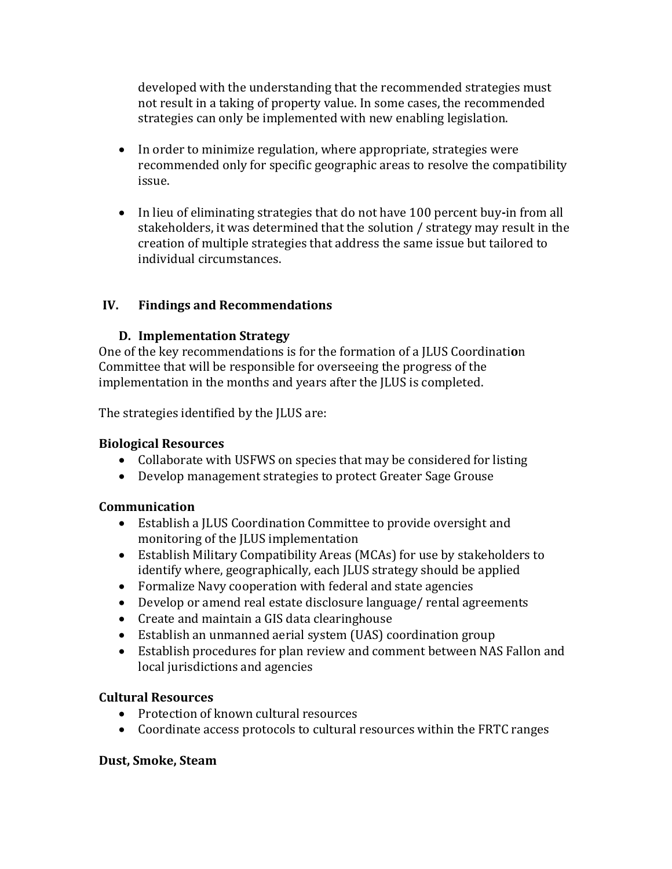developed with the understanding that the recommended strategies must not result in a taking of property value. In some cases, the recommended strategies can only be implemented with new enabling legislation.

- In order to minimize regulation, where appropriate, strategies were recommended only for specific geographic areas to resolve the compatibility issue.
- In lieu of eliminating strategies that do not have 100 percent buy-in from all stakeholders, it was determined that the solution / strategy may result in the creation of multiple strategies that address the same issue but tailored to individual circumstances.

## **IV. Findings and Recommendations**

## **D. Implementation Strategy**

One of the key recommendations is for the formation of a JLUS Coordination Committee that will be responsible for overseeing the progress of the implementation in the months and years after the JLUS is completed.

The strategies identified by the JLUS are:

#### **Biological Resources**

- Collaborate with USFWS on species that may be considered for listing
- Develop management strategies to protect Greater Sage Grouse

#### **Communication**

- Establish a JLUS Coordination Committee to provide oversight and monitoring of the JLUS implementation
- Establish Military Compatibility Areas (MCAs) for use by stakeholders to identify where, geographically, each JLUS strategy should be applied
- Formalize Navy cooperation with federal and state agencies
- Develop or amend real estate disclosure language/ rental agreements
- Create and maintain a GIS data clearinghouse
- Establish an unmanned aerial system (UAS) coordination group
- Establish procedures for plan review and comment between NAS Fallon and local jurisdictions and agencies

#### **Cultural Resources**

- Protection of known cultural resources
- Coordinate access protocols to cultural resources within the FRTC ranges

#### **Dust, Smoke, Steam**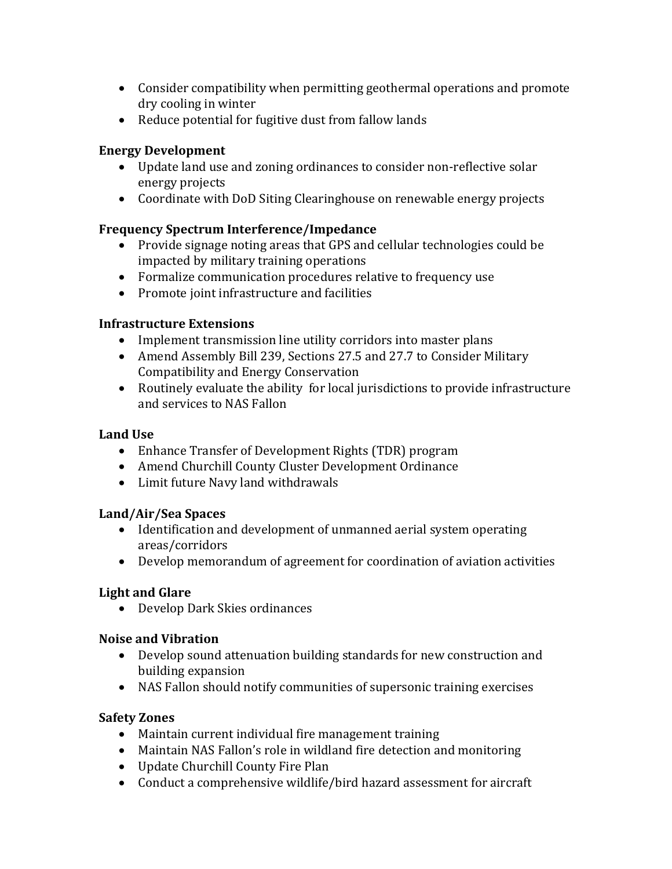- Consider compatibility when permitting geothermal operations and promote dry cooling in winter
- Reduce potential for fugitive dust from fallow lands

#### **Energy Development**

- Update land use and zoning ordinances to consider non-reflective solar energy projects
- Coordinate with DoD Siting Clearinghouse on renewable energy projects

## **Frequency Spectrum Interference/Impedance**

- Provide signage noting areas that GPS and cellular technologies could be impacted by military training operations
- Formalize communication procedures relative to frequency use
- Promote joint infrastructure and facilities

## **Infrastructure Extensions**

- Implement transmission line utility corridors into master plans
- Amend Assembly Bill 239, Sections 27.5 and 27.7 to Consider Military Compatibility and Energy Conservation
- Routinely evaluate the ability for local jurisdictions to provide infrastructure and services to NAS Fallon

#### **Land Use**

- Enhance Transfer of Development Rights (TDR) program
- Amend Churchill County Cluster Development Ordinance
- Limit future Navy land withdrawals

# **Land/Air/Sea Spaces**

- Identification and development of unmanned aerial system operating areas/corridors
- Develop memorandum of agreement for coordination of aviation activities

# **Light and Glare**

• Develop Dark Skies ordinances

# **Noise and Vibration**

- Develop sound attenuation building standards for new construction and building expansion
- NAS Fallon should notify communities of supersonic training exercises

# **Safety Zones**

- Maintain current individual fire management training
- Maintain NAS Fallon's role in wildland fire detection and monitoring
- Update Churchill County Fire Plan
- Conduct a comprehensive wildlife/bird hazard assessment for aircraft